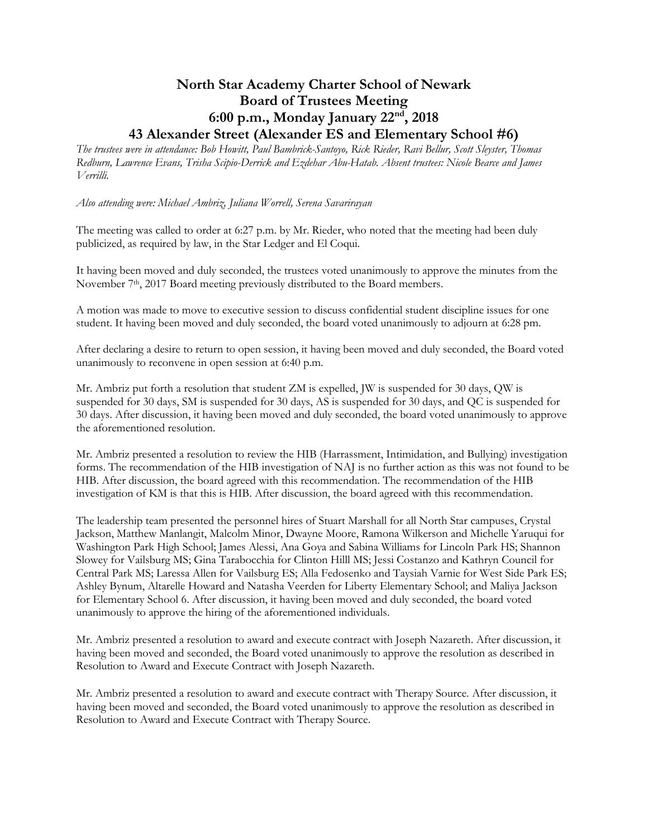## **North Star Academy Charter School of Newark Board of Trustees Meeting 6:00 p.m., Monday January 22nd, 2018 43 Alexander Street (Alexander ES and Elementary School #6)**

*The trustees were in attendance: Bob Howitt, Paul Bambrick-Santoyo, Rick Rieder, Ravi Bellur, Scott Sleyster, Thomas Redburn, Lawrence Evans, Trisha Scipio-Derrick and Ezdehar Abu-Hatab. Absent trustees: Nicole Bearce and James Verrilli.*

*Also attending were: Michael Ambriz, Juliana Worrell, Serena Savarirayan* 

The meeting was called to order at 6:27 p.m. by Mr. Rieder, who noted that the meeting had been duly publicized, as required by law, in the Star Ledger and El Coqui.

It having been moved and duly seconded, the trustees voted unanimously to approve the minutes from the November 7<sup>th</sup>, 2017 Board meeting previously distributed to the Board members.

A motion was made to move to executive session to discuss confidential student discipline issues for one student. It having been moved and duly seconded, the board voted unanimously to adjourn at 6:28 pm.

After declaring a desire to return to open session, it having been moved and duly seconded, the Board voted unanimously to reconvene in open session at 6:40 p.m.

Mr. Ambriz put forth a resolution that student ZM is expelled, JW is suspended for 30 days, QW is suspended for 30 days, SM is suspended for 30 days, AS is suspended for 30 days, and QC is suspended for 30 days. After discussion, it having been moved and duly seconded, the board voted unanimously to approve the aforementioned resolution.

Mr. Ambriz presented a resolution to review the HIB (Harrassment, Intimidation, and Bullying) investigation forms. The recommendation of the HIB investigation of NAJ is no further action as this was not found to be HIB. After discussion, the board agreed with this recommendation. The recommendation of the HIB investigation of KM is that this is HIB. After discussion, the board agreed with this recommendation.

The leadership team presented the personnel hires of Stuart Marshall for all North Star campuses, Crystal Jackson, Matthew Manlangit, Malcolm Minor, Dwayne Moore, Ramona Wilkerson and Michelle Yaruqui for Washington Park High School; James Alessi, Ana Goya and Sabina Williams for Lincoln Park HS; Shannon Slowey for Vailsburg MS; Gina Tarabocchia for Clinton Hilll MS; Jessi Costanzo and Kathryn Council for Central Park MS; Laressa Allen for Vailsburg ES; Alla Fedosenko and Taysiah Varnie for West Side Park ES; Ashley Bynum, Altarelle Howard and Natasha Veerden for Liberty Elementary School; and Maliya Jackson for Elementary School 6. After discussion, it having been moved and duly seconded, the board voted unanimously to approve the hiring of the aforementioned individuals.

Mr. Ambriz presented a resolution to award and execute contract with Joseph Nazareth. After discussion, it having been moved and seconded, the Board voted unanimously to approve the resolution as described in Resolution to Award and Execute Contract with Joseph Nazareth.

Mr. Ambriz presented a resolution to award and execute contract with Therapy Source. After discussion, it having been moved and seconded, the Board voted unanimously to approve the resolution as described in Resolution to Award and Execute Contract with Therapy Source.